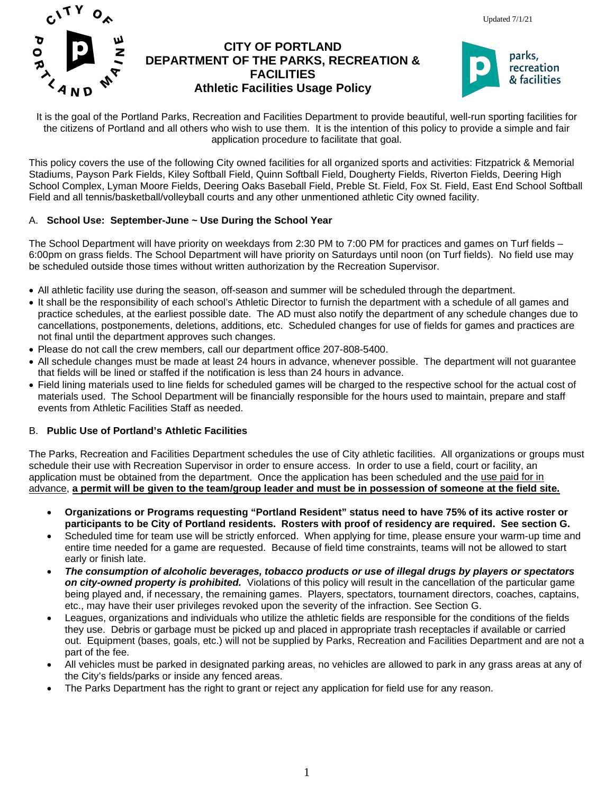Updated 7/1/21



# **CITY OF PORTLAND DEPARTMENT OF THE PARKS, RECREATION & FACILITIES Athletic Facilities Usage Policy**



It is the goal of the Portland Parks, Recreation and Facilities Department to provide beautiful, well-run sporting facilities for the citizens of Portland and all others who wish to use them. It is the intention of this policy to provide a simple and fair application procedure to facilitate that goal.

This policy covers the use of the following City owned facilities for all organized sports and activities: Fitzpatrick & Memorial Stadiums, Payson Park Fields, Kiley Softball Field, Quinn Softball Field, Dougherty Fields, Riverton Fields, Deering High School Complex, Lyman Moore Fields, Deering Oaks Baseball Field, Preble St. Field, Fox St. Field, East End School Softball Field and all tennis/basketball/volleyball courts and any other unmentioned athletic City owned facility.

# A. **School Use: September-June ~ Use During the School Year**

The School Department will have priority on weekdays from 2:30 PM to 7:00 PM for practices and games on Turf fields – 6:00pm on grass fields. The School Department will have priority on Saturdays until noon (on Turf fields). No field use may be scheduled outside those times without written authorization by the Recreation Supervisor.

- All athletic facility use during the season, off-season and summer will be scheduled through the department.
- It shall be the responsibility of each school's Athletic Director to furnish the department with a schedule of all games and practice schedules, at the earliest possible date. The AD must also notify the department of any schedule changes due to cancellations, postponements, deletions, additions, etc. Scheduled changes for use of fields for games and practices are not final until the department approves such changes.
- Please do not call the crew members, call our department office 207-808-5400.
- All schedule changes must be made at least 24 hours in advance, whenever possible. The department will not guarantee that fields will be lined or staffed if the notification is less than 24 hours in advance.
- Field lining materials used to line fields for scheduled games will be charged to the respective school for the actual cost of materials used. The School Department will be financially responsible for the hours used to maintain, prepare and staff events from Athletic Facilities Staff as needed.

## B. **Public Use of Portland's Athletic Facilities**

The Parks, Recreation and Facilities Department schedules the use of City athletic facilities. All organizations or groups must schedule their use with Recreation Supervisor in order to ensure access. In order to use a field, court or facility, an application must be obtained from the department. Once the application has been scheduled and the use paid for in advance, **a permit will be given to the team/group leader and must be in possession of someone at the field site.**

- **Organizations or Programs requesting "Portland Resident" status need to have 75% of its active roster or participants to be City of Portland residents. Rosters with proof of residency are required. See section G.**
- Scheduled time for team use will be strictly enforced. When applying for time, please ensure your warm-up time and entire time needed for a game are requested. Because of field time constraints, teams will not be allowed to start early or finish late.
- *The consumption of alcoholic beverages, tobacco products or use of illegal drugs by players or spectators on city-owned property is prohibited.* Violations of this policy will result in the cancellation of the particular game being played and, if necessary, the remaining games. Players, spectators, tournament directors, coaches, captains, etc., may have their user privileges revoked upon the severity of the infraction. See Section G.
- Leagues, organizations and individuals who utilize the athletic fields are responsible for the conditions of the fields they use. Debris or garbage must be picked up and placed in appropriate trash receptacles if available or carried out. Equipment (bases, goals, etc.) will not be supplied by Parks, Recreation and Facilities Department and are not a part of the fee.
- All vehicles must be parked in designated parking areas, no vehicles are allowed to park in any grass areas at any of the City's fields/parks or inside any fenced areas.
- The Parks Department has the right to grant or reject any application for field use for any reason.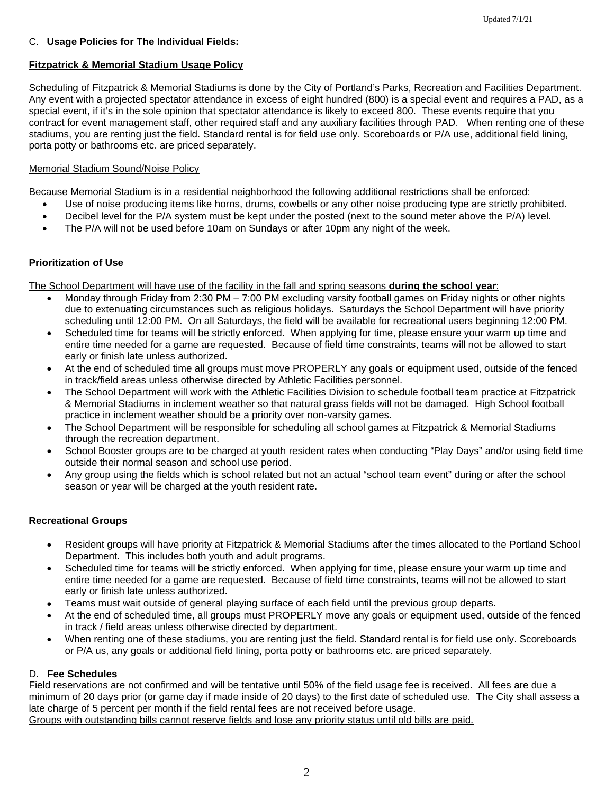## C. **Usage Policies for The Individual Fields:**

#### **Fitzpatrick & Memorial Stadium Usage Policy**

Scheduling of Fitzpatrick & Memorial Stadiums is done by the City of Portland's Parks, Recreation and Facilities Department. Any event with a projected spectator attendance in excess of eight hundred (800) is a special event and requires a PAD, as a special event, if it's in the sole opinion that spectator attendance is likely to exceed 800. These events require that you contract for event management staff, other required staff and any auxiliary facilities through PAD. When renting one of these stadiums, you are renting just the field. Standard rental is for field use only. Scoreboards or P/A use, additional field lining, porta potty or bathrooms etc. are priced separately.

## Memorial Stadium Sound/Noise Policy

Because Memorial Stadium is in a residential neighborhood the following additional restrictions shall be enforced:

- Use of noise producing items like horns, drums, cowbells or any other noise producing type are strictly prohibited.
- Decibel level for the P/A system must be kept under the posted (next to the sound meter above the P/A) level.
- The P/A will not be used before 10am on Sundays or after 10pm any night of the week.

## **Prioritization of Use**

The School Department will have use of the facility in the fall and spring seasons **during the school year**:

- Monday through Friday from 2:30 PM 7:00 PM excluding varsity football games on Friday nights or other nights due to extenuating circumstances such as religious holidays. Saturdays the School Department will have priority scheduling until 12:00 PM. On all Saturdays, the field will be available for recreational users beginning 12:00 PM.
- Scheduled time for teams will be strictly enforced. When applying for time, please ensure your warm up time and entire time needed for a game are requested. Because of field time constraints, teams will not be allowed to start early or finish late unless authorized.
- At the end of scheduled time all groups must move PROPERLY any goals or equipment used, outside of the fenced in track/field areas unless otherwise directed by Athletic Facilities personnel.
- The School Department will work with the Athletic Facilities Division to schedule football team practice at Fitzpatrick & Memorial Stadiums in inclement weather so that natural grass fields will not be damaged. High School football practice in inclement weather should be a priority over non-varsity games.
- The School Department will be responsible for scheduling all school games at Fitzpatrick & Memorial Stadiums through the recreation department.
- School Booster groups are to be charged at youth resident rates when conducting "Play Days" and/or using field time outside their normal season and school use period.
- Any group using the fields which is school related but not an actual "school team event" during or after the school season or year will be charged at the youth resident rate.

## **Recreational Groups**

- Resident groups will have priority at Fitzpatrick & Memorial Stadiums after the times allocated to the Portland School Department. This includes both youth and adult programs.
- Scheduled time for teams will be strictly enforced. When applying for time, please ensure your warm up time and entire time needed for a game are requested. Because of field time constraints, teams will not be allowed to start early or finish late unless authorized.
- Teams must wait outside of general playing surface of each field until the previous group departs.
- At the end of scheduled time, all groups must PROPERLY move any goals or equipment used, outside of the fenced in track / field areas unless otherwise directed by department.
- When renting one of these stadiums, you are renting just the field. Standard rental is for field use only. Scoreboards or P/A us, any goals or additional field lining, porta potty or bathrooms etc. are priced separately.

#### D. **Fee Schedules**

Field reservations are not confirmed and will be tentative until 50% of the field usage fee is received. All fees are due a minimum of 20 days prior (or game day if made inside of 20 days) to the first date of scheduled use. The City shall assess a late charge of 5 percent per month if the field rental fees are not received before usage.

Groups with outstanding bills cannot reserve fields and lose any priority status until old bills are paid.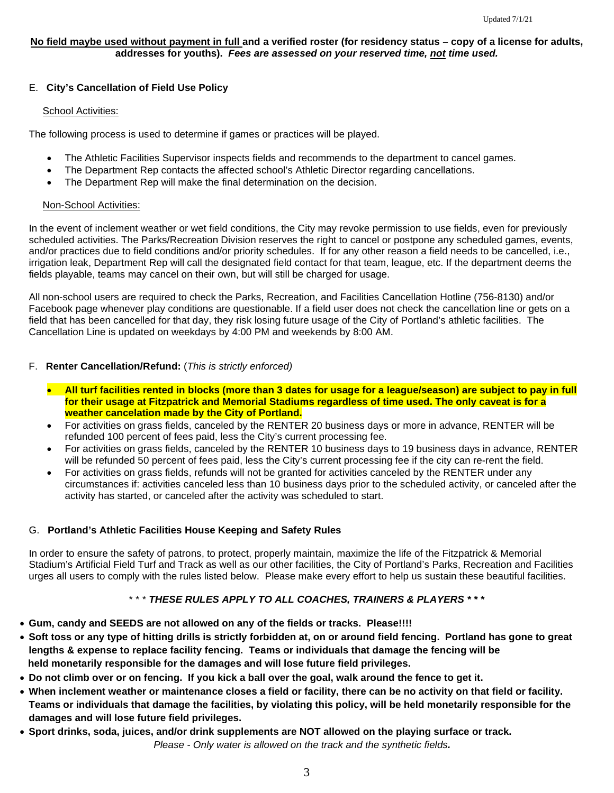## **No field maybe used without payment in full and a verified roster (for residency status – copy of a license for adults, addresses for youths).** *Fees are assessed on your reserved time, not time used.*

## E. **City's Cancellation of Field Use Policy**

#### School Activities:

The following process is used to determine if games or practices will be played.

- The Athletic Facilities Supervisor inspects fields and recommends to the department to cancel games.
- The Department Rep contacts the affected school's Athletic Director regarding cancellations.
- The Department Rep will make the final determination on the decision.

## Non-School Activities:

In the event of inclement weather or wet field conditions, the City may revoke permission to use fields, even for previously scheduled activities. The Parks/Recreation Division reserves the right to cancel or postpone any scheduled games, events, and/or practices due to field conditions and/or priority schedules. If for any other reason a field needs to be cancelled, i.e., irrigation leak, Department Rep will call the designated field contact for that team, league, etc. If the department deems the fields playable, teams may cancel on their own, but will still be charged for usage.

All non-school users are required to check the Parks, Recreation, and Facilities Cancellation Hotline (756-8130) and/or Facebook page whenever play conditions are questionable. If a field user does not check the cancellation line or gets on a field that has been cancelled for that day, they risk losing future usage of the City of Portland's athletic facilities. The Cancellation Line is updated on weekdays by 4:00 PM and weekends by 8:00 AM.

## F. **Renter Cancellation/Refund:** (*This is strictly enforced)*

- **All turf facilities rented in blocks (more than 3 dates for usage for a league/season) are subject to pay in full for their usage at Fitzpatrick and Memorial Stadiums regardless of time used. The only caveat is for a weather cancelation made by the City of Portland.**
- For activities on grass fields, canceled by the RENTER 20 business days or more in advance, RENTER will be refunded 100 percent of fees paid, less the City's current processing fee.
- For activities on grass fields, canceled by the RENTER 10 business days to 19 business days in advance, RENTER will be refunded 50 percent of fees paid, less the City's current processing fee if the city can re-rent the field.
- For activities on grass fields, refunds will not be granted for activities canceled by the RENTER under any circumstances if: activities canceled less than 10 business days prior to the scheduled activity, or canceled after the activity has started, or canceled after the activity was scheduled to start.

## G. **Portland's Athletic Facilities House Keeping and Safety Rules**

In order to ensure the safety of patrons, to protect, properly maintain, maximize the life of the Fitzpatrick & Memorial Stadium's Artificial Field Turf and Track as well as our other facilities, the City of Portland's Parks, Recreation and Facilities urges all users to comply with the rules listed below. Please make every effort to help us sustain these beautiful facilities.

## \* \* \* *THESE RULES APPLY TO ALL COACHES, TRAINERS & PLAYERS \* \* \**

- **Gum, candy and SEEDS are not allowed on any of the fields or tracks. Please!!!!**
- **Soft toss or any type of hitting drills is strictly forbidden at, on or around field fencing. Portland has gone to great lengths & expense to replace facility fencing. Teams or individuals that damage the fencing will be held monetarily responsible for the damages and will lose future field privileges.**
- **Do not climb over or on fencing. If you kick a ball over the goal, walk around the fence to get it.**
- **When inclement weather or maintenance closes a field or facility, there can be no activity on that field or facility. Teams or individuals that damage the facilities, by violating this policy, will be held monetarily responsible for the damages and will lose future field privileges.**
- **Sport drinks, soda, juices, and/or drink supplements are NOT allowed on the playing surface or track.** *Please - Only water is allowed on the track and the synthetic fields.*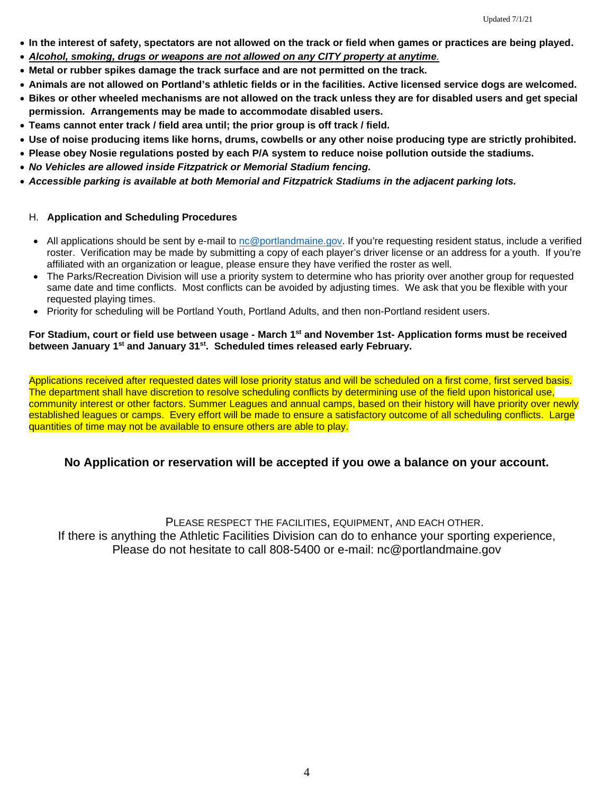- **In the interest of safety, spectators are not allowed on the track or field when games or practices are being played.**
- *Alcohol, smoking, drugs or weapons are not allowed on any CITY property at anytime.*
- **Metal or rubber spikes damage the track surface and are not permitted on the track.**
- **Animals are not allowed on Portland's athletic fields or in the facilities. Active licensed service dogs are welcomed.**
- **Bikes or other wheeled mechanisms are not allowed on the track unless they are for disabled users and get special permission. Arrangements may be made to accommodate disabled users.**
- **Teams cannot enter track / field area until; the prior group is off track / field.**
- **Use of noise producing items like horns, drums, cowbells or any other noise producing type are strictly prohibited.**
- **Please obey Nosie regulations posted by each P/A system to reduce noise pollution outside the stadiums.**
- *No Vehicles are allowed inside Fitzpatrick or Memorial Stadium fencing.*
- *Accessible parking is available at both Memorial and Fitzpatrick Stadiums in the adjacent parking lots.*

## H. **Application and Scheduling Procedures**

- All applications should be sent by e-mail to [nc@portlandmaine.gov.](mailto:nc@portlandmaine.gov) If you're requesting resident status, include a verified roster. Verification may be made by submitting a copy of each player's driver license or an address for a youth. If you're affiliated with an organization or league, please ensure they have verified the roster as well.
- The Parks/Recreation Division will use a priority system to determine who has priority over another group for requested same date and time conflicts. Most conflicts can be avoided by adjusting times. We ask that you be flexible with your requested playing times.
- Priority for scheduling will be Portland Youth, Portland Adults, and then non-Portland resident users.

#### **For Stadium, court or field use between usage - March 1st and November 1st- Application forms must be received between January 1st and January 31st. Scheduled times released early February.**

Applications received after requested dates will lose priority status and will be scheduled on a first come, first served basis. The department shall have discretion to resolve scheduling conflicts by determining use of the field upon historical use, community interest or other factors. Summer Leagues and annual camps, based on their history will have priority over newly established leagues or camps. Every effort will be made to ensure a satisfactory outcome of all scheduling conflicts. Large quantities of time may not be available to ensure others are able to play.

## **No Application or reservation will be accepted if you owe a balance on your account.**

PLEASE RESPECT THE FACILITIES, EQUIPMENT, AND EACH OTHER. If there is anything the Athletic Facilities Division can do to enhance your sporting experience, Please do not hesitate to call 808-5400 or e-mail: nc@portlandmaine.gov